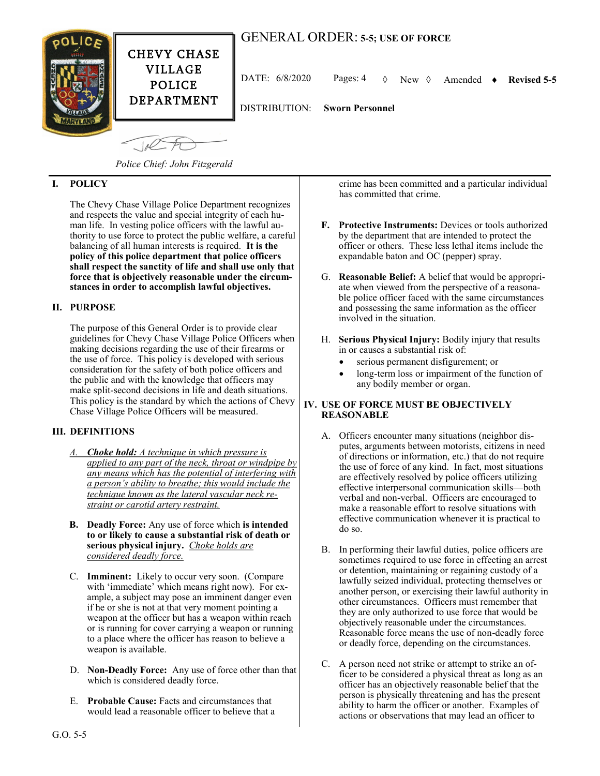



POLICE DEPARTMENT

VILLAGE

DATE: 6/8/2020 Pages: 4 New Amended **Revised 5-5**

DISTRIBUTION: **Sworn Personnel**

 $-10<sup>2</sup>$ 

*Police Chief: John Fitzgerald*

# **I. POLICY**

The Chevy Chase Village Police Department recognizes and respects the value and special integrity of each human life. In vesting police officers with the lawful authority to use force to protect the public welfare, a careful balancing of all human interests is required. **It is the policy of this police department that police officers shall respect the sanctity of life and shall use only that force that is objectively reasonable under the circumstances in order to accomplish lawful objectives.** 

### **II. PURPOSE**

The purpose of this General Order is to provide clear guidelines for Chevy Chase Village Police Officers when making decisions regarding the use of their firearms or the use of force. This policy is developed with serious consideration for the safety of both police officers and the public and with the knowledge that officers may make split-second decisions in life and death situations. This policy is the standard by which the actions of Chevy Chase Village Police Officers will be measured.

### **III. DEFINITIONS**

- *Choke hold: A technique in which pressure is applied to any part of the neck, throat or windpipe by any means which has the potential of interfering with a person's ability to breathe; this would include the technique known as the lateral vascular neck restraint or carotid artery restraint.*
- **B. Deadly Force:** Any use of force which **is intended to or likely to cause a substantial risk of death or serious physical injury.** *Choke holds are considered deadly force.*
- C. **Imminent:** Likely to occur very soon. (Compare with 'immediate' which means right now). For example, a subject may pose an imminent danger even if he or she is not at that very moment pointing a weapon at the officer but has a weapon within reach or is running for cover carrying a weapon or running to a place where the officer has reason to believe a weapon is available.
- D. **Non-Deadly Force:** Any use of force other than that which is considered deadly force.
- E. **Probable Cause:** Facts and circumstances that would lead a reasonable officer to believe that a

crime has been committed and a particular individual has committed that crime.

- **F. Protective Instruments:** Devices or tools authorized by the department that are intended to protect the officer or others. These less lethal items include the expandable baton and OC (pepper) spray.
- G. **Reasonable Belief:** A belief that would be appropriate when viewed from the perspective of a reasonable police officer faced with the same circumstances and possessing the same information as the officer involved in the situation.
- H. **Serious Physical Injury:** Bodily injury that results in or causes a substantial risk of:
	- serious permanent disfigurement; or
	- long-term loss or impairment of the function of any bodily member or organ.

#### **IV. USE OF FORCE MUST BE OBJECTIVELY REASONABLE**

- A. Officers encounter many situations (neighbor disputes, arguments between motorists, citizens in need of directions or information, etc.) that do not require the use of force of any kind. In fact, most situations are effectively resolved by police officers utilizing effective interpersonal communication skills—both verbal and non-verbal. Officers are encouraged to make a reasonable effort to resolve situations with effective communication whenever it is practical to do so.
- B. In performing their lawful duties, police officers are sometimes required to use force in effecting an arrest or detention, maintaining or regaining custody of a lawfully seized individual, protecting themselves or another person, or exercising their lawful authority in other circumstances. Officers must remember that they are only authorized to use force that would be objectively reasonable under the circumstances. Reasonable force means the use of non-deadly force or deadly force, depending on the circumstances.
- C. A person need not strike or attempt to strike an officer to be considered a physical threat as long as an officer has an objectively reasonable belief that the person is physically threatening and has the present ability to harm the officer or another. Examples of actions or observations that may lead an officer to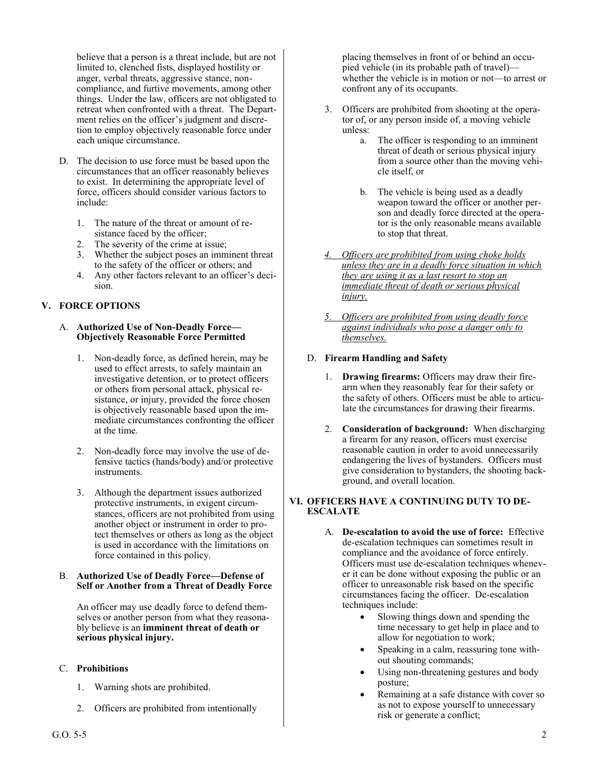believe that a person is a threat include, but are not limited to, clenched fists, displayed hostility or anger, verbal threats, aggressive stance, noncompliance, and furtive movements, among other things. Under the law, officers are not obligated to retreat when confronted with a threat. The Department relies on the officer's judgment and discretion to employ objectively reasonable force under each unique circumstance.

- D. The decision to use force must be based upon the circumstances that an officer reasonably believes to exist. In determining the appropriate level of force, officers should consider various factors to include:
	- 1. The nature of the threat or amount of resistance faced by the officer;
	- 2. The severity of the crime at issue;
	- 3. Whether the subject poses an imminent threat to the safety of the officer or others; and
	- 4. Any other factors relevant to an officer's decision.

# **V. FORCE OPTIONS**

#### A. **Authorized Use of Non-Deadly Force— Objectively Reasonable Force Permitted**

- 1. Non-deadly force, as defined herein, may be used to effect arrests, to safely maintain an investigative detention, or to protect officers or others from personal attack, physical resistance, or injury, provided the force chosen is objectively reasonable based upon the immediate circumstances confronting the officer at the time.
- 2. Non-deadly force may involve the use of defensive tactics (hands/body) and/or protective instruments.
- 3. Although the department issues authorized protective instruments, in exigent circumstances, officers are not prohibited from using another object or instrument in order to protect themselves or others as long as the object is used in accordance with the limitations on force contained in this policy.

#### B. **Authorized Use of Deadly Force—Defense of Self or Another from a Threat of Deadly Force**

An officer may use deadly force to defend themselves or another person from what they reasonably believe is an **imminent threat of death or serious physical injury.**

# C. **Prohibitions**

- 1. Warning shots are prohibited.
- 2. Officers are prohibited from intentionally

placing themselves in front of or behind an occupied vehicle (in its probable path of travel) whether the vehicle is in motion or not—to arrest or confront any of its occupants.

- 3. Officers are prohibited from shooting at the operator of, or any person inside of, a moving vehicle unless:
	- a. The officer is responding to an imminent threat of death or serious physical injury from a source other than the moving vehicle itself, or
	- b. The vehicle is being used as a deadly weapon toward the officer or another person and deadly force directed at the operator is the only reasonable means available to stop that threat.
- *4. Officers are prohibited from using choke holds unless they are in a deadly force situation in which they are using it as a last resort to stop an immediate threat of death or serious physical injury.*
- *5. Officers are prohibited from using deadly force against individuals who pose a danger only to themselves.*

# D. **Firearm Handling and Safety**

- 1. **Drawing firearms:** Officers may draw their firearm when they reasonably fear for their safety or the safety of others. Officers must be able to articulate the circumstances for drawing their firearms.
- 2. **Consideration of background:** When discharging a firearm for any reason, officers must exercise reasonable caution in order to avoid unnecessarily endangering the lives of bystanders. Officers must give consideration to bystanders, the shooting background, and overall location.

#### **VI. OFFICERS HAVE A CONTINUING DUTY TO DE-ESCALATE**

- A. **De-escalation to avoid the use of force:** Effective de-escalation techniques can sometimes result in compliance and the avoidance of force entirely. Officers must use de-escalation techniques whenever it can be done without exposing the public or an officer to unreasonable risk based on the specific circumstances facing the officer. De-escalation techniques include:
	- Slowing things down and spending the time necessary to get help in place and to allow for negotiation to work;
	- Speaking in a calm, reassuring tone without shouting commands;
	- Using non-threatening gestures and body posture;
	- Remaining at a safe distance with cover so as not to expose yourself to unnecessary risk or generate a conflict;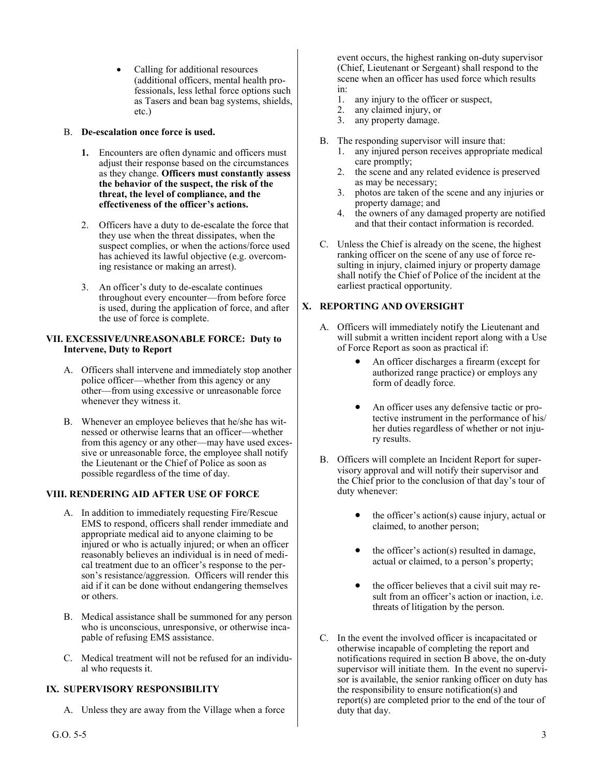• Calling for additional resources (additional officers, mental health professionals, less lethal force options such as Tasers and bean bag systems, shields, etc.)

### B. **De-escalation once force is used.**

- **1.** Encounters are often dynamic and officers must adjust their response based on the circumstances as they change. **Officers must constantly assess the behavior of the suspect, the risk of the threat, the level of compliance, and the effectiveness of the officer's actions.**
- 2. Officers have a duty to de-escalate the force that they use when the threat dissipates, when the suspect complies, or when the actions/force used has achieved its lawful objective (e.g. overcoming resistance or making an arrest).
- 3. An officer's duty to de-escalate continues throughout every encounter—from before force is used, during the application of force, and after the use of force is complete.

### **VII. EXCESSIVE/UNREASONABLE FORCE: Duty to Intervene, Duty to Report**

- A. Officers shall intervene and immediately stop another police officer—whether from this agency or any other—from using excessive or unreasonable force whenever they witness it.
- B. Whenever an employee believes that he/she has witnessed or otherwise learns that an officer—whether from this agency or any other—may have used excessive or unreasonable force, the employee shall notify the Lieutenant or the Chief of Police as soon as possible regardless of the time of day.

### **VIII. RENDERING AID AFTER USE OF FORCE**

- A. In addition to immediately requesting Fire/Rescue EMS to respond, officers shall render immediate and appropriate medical aid to anyone claiming to be injured or who is actually injured; or when an officer reasonably believes an individual is in need of medical treatment due to an officer's response to the person's resistance/aggression. Officers will render this aid if it can be done without endangering themselves or others.
- B. Medical assistance shall be summoned for any person who is unconscious, unresponsive, or otherwise incapable of refusing EMS assistance.
- C. Medical treatment will not be refused for an individual who requests it.

# **IX. SUPERVISORY RESPONSIBILITY**

A. Unless they are away from the Village when a force

event occurs, the highest ranking on-duty supervisor (Chief, Lieutenant or Sergeant) shall respond to the scene when an officer has used force which results in:<br>1.

- any injury to the officer or suspect,
- 2. any claimed injury, or
- 3. any property damage.
- B. The responding supervisor will insure that:
	- 1. any injured person receives appropriate medical care promptly;
	- 2. the scene and any related evidence is preserved as may be necessary;
	- 3. photos are taken of the scene and any injuries or property damage; and
	- 4. the owners of any damaged property are notified and that their contact information is recorded.
- C. Unless the Chief is already on the scene, the highest ranking officer on the scene of any use of force resulting in injury, claimed injury or property damage shall notify the Chief of Police of the incident at the earliest practical opportunity.

# **X. REPORTING AND OVERSIGHT**

- A. Officers will immediately notify the Lieutenant and will submit a written incident report along with a Use of Force Report as soon as practical if:
	- An officer discharges a firearm (except for authorized range practice) or employs any form of deadly force.
	- An officer uses any defensive tactic or protective instrument in the performance of his/ her duties regardless of whether or not injury results.
- B. Officers will complete an Incident Report for supervisory approval and will notify their supervisor and the Chief prior to the conclusion of that day's tour of duty whenever:
	- the officer's  $action(s)$  cause injury, actual or claimed, to another person;
	- the officer's  $action(s)$  resulted in damage, actual or claimed, to a person's property;
	- the officer believes that a civil suit may result from an officer's action or inaction, i.e. threats of litigation by the person.
- C. In the event the involved officer is incapacitated or otherwise incapable of completing the report and notifications required in section B above, the on-duty supervisor will initiate them. In the event no supervisor is available, the senior ranking officer on duty has the responsibility to ensure notification(s) and report(s) are completed prior to the end of the tour of duty that day.